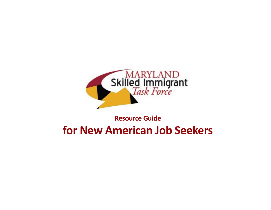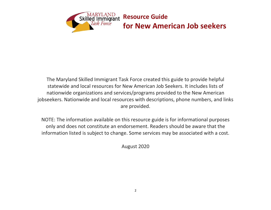

The Maryland Skilled Immigrant Task Force created this guide to provide helpful statewide and local resources for New American Job Seekers. It includes lists of nationwide organizations and services/programs provided to the New American jobseekers. Nationwide and local resources with descriptions, phone numbers, and links are provided.

NOTE: The information available on this resource guide is for informational purposes only and does not constitute an endorsement. Readers should be aware that the information listed is subject to change. Some services may be associated with a cost.

August 2020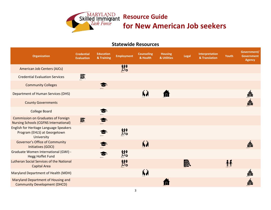

# **Resource Guide**<br>Skilled Immigrant Resource Guide **for New American Job seekers**

### **Statewide Resources**

| <b>Organization</b>                                                                       | <b>Credential</b><br><b>Evaluation</b> | <b>Education</b><br>& Training | <b>Employment</b>          | <b>Counseling</b><br>& Health | <b>Housing</b><br>& Utilities | <b>Legal</b> | Interpretation<br>& Translation | Youth | Government/<br><b>Government</b><br><b>Agency</b> |
|-------------------------------------------------------------------------------------------|----------------------------------------|--------------------------------|----------------------------|-------------------------------|-------------------------------|--------------|---------------------------------|-------|---------------------------------------------------|
| <b>American Job Centers (AJCs)</b>                                                        |                                        |                                | $\mathcal{O}_{\mathbf{Q}}$ |                               |                               |              |                                 |       |                                                   |
| <b>Credential Evaluation Services</b>                                                     | 最                                      |                                |                            |                               |                               |              |                                 |       |                                                   |
| <b>Community Colleges</b>                                                                 |                                        |                                |                            |                               |                               |              |                                 |       |                                                   |
| <b>Department of Human Services (DHS)</b>                                                 |                                        |                                |                            | ĥÀ                            | n                             |              |                                 |       | Â                                                 |
| <b>County Governments</b>                                                                 |                                        |                                |                            |                               |                               |              |                                 |       | á.                                                |
| <b>College Board</b>                                                                      |                                        |                                |                            |                               |                               |              |                                 |       |                                                   |
| <b>Commission on Graduates of Foreign</b><br><b>Nursing Schools (CGFNS International)</b> | <b>最</b>                               | $\bullet$                      |                            |                               |                               |              |                                 |       |                                                   |
| English for Heritage Language Speakers<br>Program (EHLS) at Georgetown<br>University      |                                        |                                | $\mathcal{O}_{\mathbf{Q}}$ |                               |                               |              |                                 |       |                                                   |
| <b>Governor's Office of Community</b><br>Initiatives (GOCI)                               |                                        |                                |                            | ĥÀ                            |                               |              |                                 |       | 譱                                                 |
| Graduate Women International (GWI) -<br><b>Hegg Hoffet Fund</b>                           |                                        |                                | $\mathcal{O}_{\mathbf{Q}}$ |                               |                               |              |                                 |       |                                                   |
| Lutheran Social Services of the National<br><b>Capital Area</b>                           |                                        |                                | $\mathcal{O}_{\mathbf{Q}}$ |                               |                               | 鬣            |                                 | ŤŤ    |                                                   |
| Maryland Department of Health (MDH)                                                       |                                        |                                |                            | ĥÅ                            |                               |              |                                 |       | ilia.<br>Filipi                                   |
| Maryland Department of Housing and<br><b>Community Development (DHCD)</b>                 |                                        |                                |                            |                               |                               |              |                                 |       | 譱                                                 |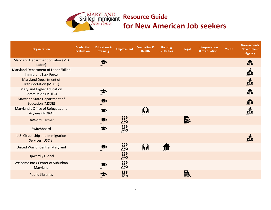

## **Resource Guide**<br>Skilled Immigrant Resource Guide **for New American Job seekers**

| <b>Organization</b>                                                 | <b>Credential</b><br><b>Evaluation</b> | <b>Education &amp;</b><br><b>Training</b> | <b>Employment</b>                     | <b>Counseling &amp;</b><br><b>Health</b> | <b>Housing</b><br>& Utilities | Legal | <b>Interpretation</b><br>& Translation | Youth | Government/<br><b>Government</b><br><b>Agency</b> |
|---------------------------------------------------------------------|----------------------------------------|-------------------------------------------|---------------------------------------|------------------------------------------|-------------------------------|-------|----------------------------------------|-------|---------------------------------------------------|
| <b>Maryland Department of Labor (MD</b><br>Labor)                   |                                        |                                           |                                       |                                          |                               |       |                                        |       | <b>A</b>                                          |
| Maryland Department of Labor Skilled<br><b>Immigrant Task Force</b> |                                        |                                           |                                       |                                          |                               |       |                                        |       | Á                                                 |
| <b>Maryland Department of</b><br><b>Transportation (MDOT)</b>       |                                        |                                           |                                       |                                          |                               |       |                                        |       | Á                                                 |
| <b>Maryland Higher Education</b><br><b>Commission (MHEC)</b>        |                                        |                                           |                                       |                                          |                               |       |                                        |       | Á                                                 |
| <b>Maryland State Department of</b><br><b>Education (MSDE)</b>      |                                        |                                           |                                       |                                          |                               |       |                                        |       | Á                                                 |
| Maryland's Office of Refugees and<br>Asylees (MORA)                 |                                        | $\bullet$                                 |                                       | ĥÀ                                       |                               |       |                                        |       | á.                                                |
| <b>OnWord Partner</b>                                               |                                        | $\bullet$                                 | $\frac{\partial \phi}{\partial \phi}$ |                                          |                               | 鬣     |                                        |       |                                                   |
| Switchboard                                                         |                                        | S                                         | $\frac{\partial \phi}{\partial \phi}$ |                                          |                               |       |                                        |       |                                                   |
| U.S. Citizenship and Immigration<br>Services (USCIS)                |                                        |                                           |                                       |                                          |                               |       |                                        |       | 譱                                                 |
| United Way of Central Maryland                                      |                                        |                                           | $\frac{\partial \Phi}{\partial \phi}$ | ĥÀ                                       |                               |       |                                        |       |                                                   |
| <b>Upwardly Global</b>                                              |                                        |                                           | $\frac{\partial \phi}{\partial \phi}$ |                                          |                               |       |                                        |       |                                                   |
| Welcome Back Center of Suburban<br>Maryland                         |                                        |                                           | $\frac{\partial \phi}{\partial \phi}$ |                                          |                               |       |                                        |       |                                                   |
| <b>Public Libraries</b>                                             |                                        |                                           | $\mathcal{O}_{\mathbf{Q}}$            |                                          |                               | 鬣     |                                        |       |                                                   |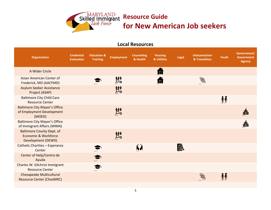

### **Local Resources**

| <b>Organization</b>                                                            | <b>Credential</b><br><b>Evaluation</b> | <b>Education &amp;</b><br><b>Training</b> | <b>Employment</b>                     | <b>Counseling</b><br>& Health | <b>Housing</b><br>& Utilities | Legal | Interpretation<br>& Translation | Youth | Government/<br><b>Government</b><br><b>Agency</b> |
|--------------------------------------------------------------------------------|----------------------------------------|-------------------------------------------|---------------------------------------|-------------------------------|-------------------------------|-------|---------------------------------|-------|---------------------------------------------------|
| A Wider Circle                                                                 |                                        |                                           |                                       |                               | ſπ                            |       |                                 |       |                                                   |
| Asian American Center of<br>Frederick, MD (AACFMD)                             |                                        |                                           | $\frac{\partial \phi}{\partial \phi}$ |                               |                               |       | $\bigoplus$                     |       |                                                   |
| <b>Asylum Seeker Assistance</b><br>Project (ASAP)                              |                                        |                                           | $\mathcal{O}_{\mathbf{Q}}$            |                               |                               |       |                                 |       |                                                   |
| <b>Baltimore City Child Care</b><br><b>Resource Center</b>                     |                                        |                                           |                                       |                               |                               |       |                                 | ŤŤ    |                                                   |
| <b>Baltimore City Mayor's Office</b><br>of Employment Development<br>(MOED)    |                                        |                                           | $\mathcal{O}_{\mathbf{Q}}$            |                               |                               |       |                                 |       |                                                   |
| <b>Baltimore City Mayor's Office</b><br>of Immigrant Affairs (MIMA)            |                                        |                                           |                                       |                               |                               |       |                                 |       |                                                   |
| <b>Baltimore County Dept. of</b><br>Economic & Workforce<br>Development (DEWD) |                                        |                                           | $\frac{1}{2}$                         |                               |                               |       |                                 |       |                                                   |
| Catholic Charities - Esperanza<br>Center                                       |                                        |                                           |                                       | ĥÀ                            |                               | 鬣     |                                 |       |                                                   |
| Center of Help/Centro de<br>Ayuda                                              |                                        |                                           |                                       |                               |                               |       |                                 |       |                                                   |
| Charles W. Gilchrist Immigrant<br><b>Resource Center</b>                       |                                        |                                           |                                       |                               |                               |       |                                 |       |                                                   |
| <b>Chesapeake Multicultural</b><br><b>Resource Center (ChesMRC)</b>            |                                        |                                           |                                       |                               |                               |       | S.                              |       |                                                   |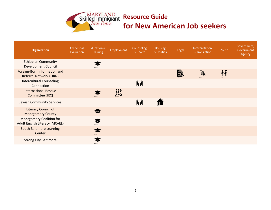

## **Resource Guide**<br>Skilled Immigrant Resource Guide **for New American Job seekers**

| <b>Organization</b>                                               | Credential<br>Evaluation | Education &<br><b>Training</b> | Employment | Counseling<br>& Health | <b>Housing</b><br>& Utilities | Legal | Interpretation<br>& Translation | Youth | Government/<br>Government<br>Agency |
|-------------------------------------------------------------------|--------------------------|--------------------------------|------------|------------------------|-------------------------------|-------|---------------------------------|-------|-------------------------------------|
| <b>Ethiopian Community</b><br><b>Development Council</b>          |                          |                                |            |                        |                               |       |                                 |       |                                     |
| Foreign-Born Information and<br><b>Referral Network (FIRN)</b>    |                          |                                |            |                        |                               | 國     | $\bigoplus_{i=1}^n$             |       |                                     |
| <b>Intercultural Counseling</b><br>Connection                     |                          |                                |            | ĥ,                     |                               |       |                                 |       |                                     |
| <b>International Rescue</b><br>Committee (IRC)                    |                          |                                | iii<br>Oo  |                        |                               |       |                                 |       |                                     |
| <b>Jewish Community Services</b>                                  |                          |                                |            | ĥÀ                     |                               |       |                                 |       |                                     |
| <b>Literacy Council of</b><br><b>Montgomery County</b>            |                          |                                |            |                        |                               |       |                                 |       |                                     |
| <b>Montgomery Coalition for</b><br>Adult English Literacy (MCAEL) |                          |                                |            |                        |                               |       |                                 |       |                                     |
| <b>South Baltimore Learning</b><br>Center                         |                          |                                |            |                        |                               |       |                                 |       |                                     |
| <b>Strong City Baltimore</b>                                      |                          |                                |            |                        |                               |       |                                 |       |                                     |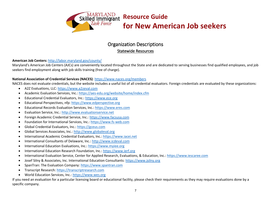

### Organization Descriptions

#### Statewide Resources

#### **American Job Centers:** http://labor.maryland.gov/county/

Maryland's American Job Centers (AJCs) are conveniently located throughout the State and are dedicated to serving businesses find qualified employees, and job seekers find employment along with job skills training (free of charge).

#### **National Association of Credential Services (NACES)**: https://www.naces.org/members

NACES does not evaluate credentials, but the website includes a useful list of all credential evaluators. Foreign credentials are evaluated by these organizations:

- A2Z Evaluations, LLC: https://www.a2zeval.com
- Academic Evaluation Services, Inc.: https://aes-edu.org/website/home/index.cfm
- Educational Credential Evaluators, Inc.: https://www.ece.org
- Educational Perspectives, nfp: https://www.edperspective.org
- Educational Records Evaluation Services, Inc.: https://www.eres.com
- Evaluation Service, Inc.: http://www.evaluationservice.net
- Foreign Academic Credential Service, Inc.: https://www.facsusa.com
- Foundation for International Services, Inc.: https://www.fs-web.com
- Global Credential Evaluators, Inc.: https://gceus.com
- Global Services Associates, Inc.: http://www.globaleval.org
- International Academic Credential Evaluators, Inc.: https://www.iacei.net
- International Consultants of Delaware, Inc.: http://www.icdeval.com
- International Education Evaluations, Inc.: https://www.myiee.org
- International Education Research Foundation, Inc.: https://www.ierf.org
- International Evaluation Service, Center for Applied Research, Evaluations, & Education, Inc.: https://www.iescaree.com
- Josef Silny & Associates, Inc. International Education Consultants: https://www.jsilny.org
- SpanTran: The Evaluation Company: https://www.spantran.com
- Transcript Research: https://transcriptresearch.com
- World Education Services, Inc.: https://www.wes.org

If you need an evaluation for a particular licensing board or educational facility, please check their requirements as they may require evaluations done by a specific company.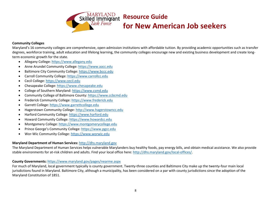

### **Resource Guide**

### **for New American Job seekers**

#### **Community Colleges**

Maryland's 16 community colleges are comprehensive, open-admission institutions with affordable tuition. By providing academic opportunities such as transfer degrees, workforce training, adult education and lifelong learning, the community colleges encourage new and existing business development and create longterm economic growth for the state.

- Allegany College: https://www.allegany.edu
- Anne Arundel Community College: https://www.aacc.edu
- Baltimore City Community College: https://www.bccc.edu
- Carroll Community College: https://www.carrollcc.edu
- Cecil College: https://www.cecil.edu
- Chesapeake College: https://www.chesapeake.edu
- College of Southern Maryland: https://www.csmd.edu
- Community College of Baltimore County: https://www.ccbcmd.edu
- Frederick Community College: https://www.frederick.edu
- Garrett College: https://www.garrettcollege.edu
- Hagerstown Community College: http://www.hagerstowncc.edu
- Harford Community College: https://www.harford.edu
- Howard Community College: https://www.howardcc.edu
- Montgomery College: https://www.montgomerycollege.edu
- Prince George's Community College: https://www.pgcc.edu
- Wor-Wic Community College: https://www.worwic.edu

#### **Maryland Department of Human Services:** http://dhs.maryland.gov

The Maryland Department of Human Services helps vulnerable Marylanders buy healthy foods, pay energy bills, and obtain medical assistance. We also provide stable environments for at-risk children and adults. Find your local office here: http://dhs.maryland.gov/local-offices/.

#### **County Governments:** https://www.maryland.gov/pages/nearme.aspx

For much of Maryland, local government typically is county government. Twenty-three counties and Baltimore City make up the twenty-four main local jurisdictions found in Maryland. Baltimore City, although a municipality, has been considered on a par with county jurisdictions since the adoption of the Maryland Constitution of 1851.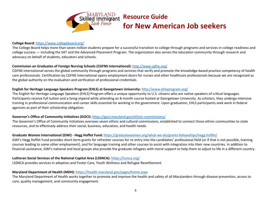

#### **College Board:** https://www.collegeboard.org/

The College Board helps more than seven million students prepare for a successful transition to college through programs and services in college readiness and college success — including the SAT and the Advanced Placement Program. The organization also serves the education community through research and advocacy on behalf of students, educators and schools.

#### **Commission on Graduates of Foreign Nursing Schools (CGFNS International):** http://www.cgfns.org/

CGFNS International serves the global community through programs and services that verify and promote the knowledge-based practice competency of health care professionals. Certification by CGFNS International opens employment doors for nurses and other healthcare professionals because we are recognized as the global authority on the evaluation and verification of professional credentials.

#### **English for Heritage Language Speakers Program (EHLS) at Georgetown University:** http://www.ehlsprogram.org/

The English for Heritage Language Speakers (EHLS) Program offers a unique opportunity to U.S. citizens who are native speakers of critical languages. Participants receive full tuition and a living stipend while attending an 8-month course hosted at Georgetown University. As scholars, they undergo intensive training in professional communication and career skills essential for working in the government. Upon graduation, EHLS participants seek work in federal agencies as part of their scholarship obligation.

#### **Governor's Office of Community Initiatives (GOCI):** https://goci.maryland.gov/ethnic-commissions/

The Governor's Office of Community Initiatives oversees seven ethnic and cultural commissions, established to connect those ethnic communities to state resources, and to effectively address their social, business, education, and health needs.

#### **Graduate Women International (GWI) - Hegg Hoffet Fund:** https://graduatewomen.org/what-we-do/grants-fellowships/hegg-hoffet/

GWI's Hegg Hoffet Fund provides short-term grants for refresher courses for re-entry into the candidates' professional field (or if that is not possible, training courses leading to some other employment), and for language training and other courses to assist with integration into their new countries. In addition to financial assistance, GWI's national and local groups also provide the graduate refugees with moral support to help them to adjust to life in a different country.

#### **Lutheran Social Services of the National Capital Area (LSSNCA):** https://lssnca.org/

LSSNCA provides services in adoption and Foster Care, Youth Wellness and Refugee Resettlement.

#### **Maryland Department of Health (MDH):** https://health.maryland.gov/pages/home.aspx

The Maryland Department of Health works together to promote and improve the health and safety of all Marylanders through disease prevention, access to care, quality management, and community engagement.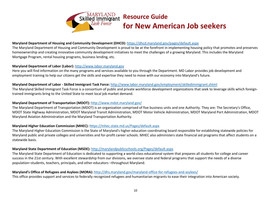

### **Skilled Immigrant Resource Guide**<br>*Task Force* **for Now Ame for New American Job seekers**

#### **Maryland Department of Housing and Community Development (DHCD):** https://dhcd.maryland.gov/pages/default.aspx

The Maryland Department of Housing and Community Development is proud to be at the forefront in implementing housing policy that promotes and preserves homeownership and creating innovative community development initiatives to meet the challenges of a growing Maryland. This includes the Maryland Mortgage Program, rental housing programs, business lending, etc.

#### **Maryland Department of Labor (Labor):** http://www.labor.maryland.gov

Here you will find information on the many programs and services available to you through the Department. MD Labor provides job development and employment training to help our citizens get the skills and expertise they need to move with our economy into Maryland's future.

#### **Maryland Department of Labor - Skilled Immigrant Task Force:** http://www.labor.maryland.gov/employment/skilledimmigrant.shtml

The Maryland Skilled Immigrant Task Force is a consortium of public and private workforce development organizations that seek to leverage skills which foreigntrained immigrants bring to the United State to meet local job market demand.

#### **Maryland Department of Transportation (MDOT):** http://www.mdot.maryland.gov/

The Maryland Department of Transportation (MDOT) is an organization comprised of five business units and one Authority. They are: The Secretary's Office, MDOT State Highway Administration, MDOT Maryland Transit Administration, MDOT Motor Vehicle Administration, MDOT Maryland Port Administration, MDOT Maryland Aviation Administration and the Maryland Transportation Authority.

#### **Maryland Higher Education Commission (MHEC):** https://mhec.state.md.us/Pages/default.aspx

The Maryland Higher Education Commission is the State of Maryland's higher education coordinating board responsible for establishing statewide policies for Maryland public and private colleges and universities and for-profit career schools. MHEC also administers state financial aid programs that affect students on a statewide basis.

#### **Maryland State Department of Education (MSDE):** http://marylandpublicschools.org/Pages/default.aspx

The Maryland State Department of Education is dedicated to supporting a world-class educational system that prepares all students for college and career success in the 21st century. With excellent stewardship from our divisions, we oversee state and federal programs that support the needs of a diverse population–students, teachers, principals, and other educators –throughout Maryland.

#### **Maryland's Office of Refugees and Asylees (MORA):** http://dhs.maryland.gov/maryland-office-for-refugees-and-asylees/

This office provides support and services to federally recognized refugees and humanitarian migrants to ease their integration into American society.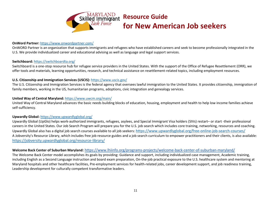

#### **OnWord Partner:** https://www.onwordpartner.com/

OnWORD Partner is an organization that supports immigrants and refugees who have established careers and seek to become professionally integrated in the U.S. We provide individualized career and educational advising as well as language and legal support services.

#### **Switchboard:** https://switchboardta.org/

Switchboard is a one-stop resource hub for refugee service providers in the United States. With the support of the Office of Refugee Resettlement (ORR), we offer tools and materials, learning opportunities, research, and technical assistance on resettlement-related topics, including employment resources.

#### **U.S. Citizenship and Immigration Services (USCIS):** https://www.uscis.gov/

The U.S. Citizenship and Immigration Services is the federal agency that oversees lawful immigration to the United States. It provides citizenship, immigration of family members, working in the US, humanitarian programs, adoptions, civic integration and genealogy services.

#### **United Way of Central Maryland:** https://www.uwcm.org/main/

United Way of Central Maryland advances the basic needs building blocks of education, housing, employment and health to help low income families achieve self-sufficiency.

#### **Upwardly Global:** https://www.upwardlyglobal.org/

Upwardly Global (UpGlo) helps work-authorized immigrants, refugees, asylees, and Special Immigrant Visa holders (SIVs) restart– or start -their professional careers in the United States. Our Job Search Program will prepare you for the U.S. job search which includes core training, networking, resources and coaching. Upwardly Global also has a digital job search courses available to all job seekers: https://www.upwardlyglobal.org/free-online-job-search-courses/ A Jobversity's Resource Library, which includes free job resource guides and a job search curriculum to empower practitioners and their clients, is also available: https://jobversity.upwardlyglobal.org/resource-library/

#### **Welcome Back Center of Suburban Maryland:** https://www.lhiinfo.org/programs-projects/welcome-back-center-of-suburban-maryland/

The Welcome Back Center model accomplishes its goals by providing: Guidance and support, including individualized case management, Academic training, including English as a Second Language instruction and board exam preparation, On-the-job practical exposure to the U.S. healthcare system and mentoring at Maryland hospitals and other healthcare facilities, Pre-employment services for health-related jobs, career development support, and job readiness training, Leadership development for culturally competent transformative leaders.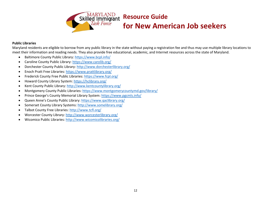

### **Resource Guide**

### **for New American Job seekers**

#### **Public Libraries**

Maryland residents are eligible to borrow from any public library in the state without paying a registration fee and thus may use multiple library locations to meet their information and reading needs. They also provide free educational, academic, and Internet resources across the state of Maryland.

- Baltimore County Public Library: https://www.bcpl.info/
- Caroline County Public Library: https://www.carolib.org/
- Dorchester County Public Library: http://www.dorchesterlibrary.org/
- Enoch Pratt Free Libraries: https://www.prattlibrary.org/
- Frederick County Free Public Libraries: https://www.fcpl.org/
- Howard County Library System: https://hclibrary.org/
- Kent County Public Library: http://www.kentcountylibrary.org/
- Montgomery County Public Libraries: https://www.montgomerycountymd.gov/library/
- Prince George's County Memorial Library System: https://www.pgcmls.info/
- Queen Anne's County Public Library: https://www.qaclibrary.org/
- Somerset County Library Systems: http://www.somelibrary.org/
- Talbot County Free Libraries: http://www.tcfl.org/
- Worcester County Library: http://www.worcesterlibrary.org/
- Wicomico Public Libraries: http://www.wicomicolibraries.org/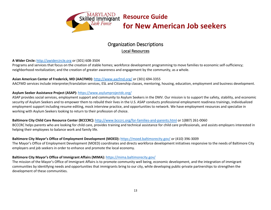

### Organization Descriptions Local Resources

#### **A Wider Circle:** http://awidercircle.org or (301) 608-3504

Programs and services that focus on the creation of stable homes; workforce development programming to move families to economic self-sufficiency; neighborhood revitalization; and the creation of greater awareness and engagement by the community, as a whole.

#### **Asian American Center of Frederick, MD (AACFMD):** http://www.aacfmd.org/ or (301) 694-3355

AACFMD services include interpreter/translation services, ESL and Citizenship classes, mentoring, housing, education, employment and business development.

#### **Asylum Seeker Assistance Project (ASAP):** https://www.asylumprojectdc.org/

ASAP provides social services, employment support and community to Asylum Seekers in the DMV. Our mission is to support the safety, stability, and economic security of Asylum Seekers and to empower them to rebuild their lives in the U.S. ASAP conducts professional employment readiness trainings, individualized employment support including resume editing, mock interview practice, and opportunities to network. We have employment resources and specialize in working with Asylum Seekers looking to return to their profession of choice.

#### **Baltimore City Child Care Resource Center (BCCCRC):** http://www.bcccrc.org/for-families-and-parents.html or 1(887) 261-0060

BCCCRC helps parents who are looking for child care, provides training and technical assistance for child care professionals, and assists employers interested in helping their employees to balance work and family life.

#### **Baltimore City Mayor's Office of Employment Development (MOED):** https://moed.baltimorecity.gov/ or (410) 396-3009

The Mayor's Office of Employment Development (MOED) coordinates and directs workforce development initiatives responsive to the needs of Baltimore City employers and job seekers in order to enhance and promote the local economy.

#### **Baltimore City Mayor's Office of Immigrant Affairs (MIMA):** https://mima.baltimorecity.gov/

The mission of the Mayor's Office of Immigrant Affairs is to promote community well being, economic development, and the integration of immigrant communities by identifying needs and opportunities that immigrants bring to our city, while developing public-private partnerships to strengthen the development of these communities.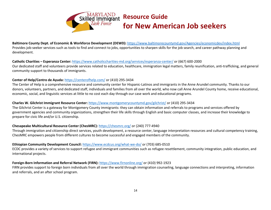

**Baltimore County Dept. of Economic & Workforce Development (DEWD):** https://www.baltimorecountymd.gov/Agencies/economicdev/index.html Provides job-seeker services such as tools to find and connect to jobs, opportunities to sharpen skills for the job search, and career pathway planning and development.

#### **Catholic Charities – Esperanza Center:** https://www.catholiccharities-md.org/services/esperanza-center/ or (667) 600-2000

Our dedicated staff and volunteers provide services related to education, healthcare, immigration legal matters, family reunification, anti-trafficking, and general community support to thousands of immigrants.

#### **Center of Help/Centro de Ayuda:** https://centerofhelp.com/ or (410) 295-3434

The Center of Help is a comprehensive resource and community center for Hispanic-Latinos and immigrants in the Anne Arundel community. Thanks to our donors, volunteers, partners, and dedicated staff, individuals and families from all over the world, who now call Anne Arundel County home, receive educational, economic, social, and linguistic services at little to no cost each day through our case work and educational programs.

#### **Charles W. Gilchrist Immigrant Resource Center:** https://www.montgomerycountymd.gov/gilchrist/ or (410) 295-3434

The Gilchrist Center is a gateway for Montgomery County immigrants: they can obtain information and referrals to programs and services offered by government agencies and community organizations, strengthen their life skills through English and basic computer classes, and increase their knowledge to prepare for civic life and/or U.S. citizenship.

#### **Chesapeake Multicultural Resource Center (ChesMRC):** https://chesmrc.org/ or (240) 777-4940

Through immigration and citizenship direct services, youth development, a resource center, language interpretation resources and cultural competency training, ChesMRC empowers people from different cultures to become successful and engaged members of the community.

#### **Ethiopian Community Development Council:** https://www.ecdcus.org/what-we-do/ or (703) 685-0510

ECDC provides a variety of services to support refugee and immigrant communities such as refugee resettlement, community integration, public education, and international projects.

#### **Foreign-Born Information and Referral Network (FIRN):** https://www.firnonline.org/ or (410) 992-1923

FIRN provides support to foreign born individuals from all over the world through immigration counseling, language connections and interpreting, information and referrals, and an after school program.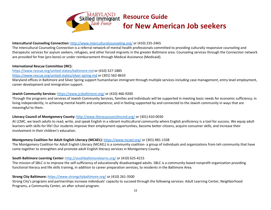

#### **Intercultural Counseling Connection:** http://www.interculturalcounseling.org/ or (410) 235-2465

The Intercultural Counseling Connection is a referral network of mental health professionals committed to providing culturally responsive counseling and therapeutic services for asylum seekers, refugees, and other forced migrants in the greater Baltimore area. Counseling services through the Connection network are provided for free (pro bono) or under reimbursement through Medical Assistance (Medicaid).

#### **International Rescue Committee (IRC):**

https://www.rescue.org/united-states/baltimore-md or (410) 327-1885 https://www.rescue.org/united-states/silver-spring-md or (301) 562-8633

Maryland offices in Baltimore and Silver Spring support humanitarian immigrant through multiple services including case management, entry level employment, career development and immigration support.

#### **Jewish Community Services:** https://www.jcsbaltimore.org/ or (410) 466-9200

Through the programs and services of Jewish Community Services, families and individuals will be supported in meeting basic needs for economic sufficiency; in living independently; in achieving mental health and competence; and in feeling supported by and connected to the Jewish community in ways that are meaningful to them.

#### **Literacy Council of Montgomery County:** http://www.literacycouncilmcmd.org/ or (301) 610-0030

At LCMC, we teach adults to read, write, and speak English in a vibrant multicultural community where English proficiency is a tool for success. We equip adult learners with skills for life! Our students improve their employment opportunities, become better citizens, acquire consumer skills, and increase their involvement in their children's education.

#### **Montgomery Coalition for Adult English Literacy (MCAEL):** https://www.mcael.org/ or (301) 881-1338

The Montgomery Coalition for Adult English Literacy (MCAEL) is a community coalition- a group of individuals and organizations from teh community that have come together to strengthen and promote adult English literacy services in Montgomery County.

#### **South Baltimore Learning Center:** http://southbaltimorelearns.org/ or (410) 625-4215

The mission of SBLC is to improve the self-sufficiency of educationally disadvantaged adults. SBLC is a community-based nonprofit organization providing functional literacy and life skills training, in addition to career preparation services, to residents in the Baltimore Area.

#### **Strong City Baltimore:** https://www.strongcitybaltimore.org/ or (410) 261-3500

Strong City's programs and partnerships increase individuals' capacity to succeed through the following services: Adult Learning Center, Neighborhood Programs, a Community Center, an after school program.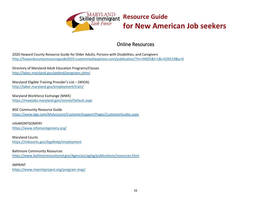

# **for New American Job seekers**

### Online Resources

2020 Howard County Resource Guide for Older Adults, Persons with Disabilities, and Caregivers http://howardcountyresourceguide2019.custommediaoptions.com/publication/?m=34055&l=1&i=629519&p=0

Directory of Maryland Adult Education Programs/Classes http://labor.maryland.gov/gedmd/programs.shtml

Maryland Eligible Training Provider's List – (WIOA) http://labor.maryland.gov/employment/train/

Maryland Workforce Exchange (MWE) https://mwejobs.maryland.gov/vosnet/Default.aspx

BGE Community Resource Guide https://www.bge.com/MyAccount/CustomerSupport/Pages/CustomerGuides.aspx

infoMONTGOMERY https://www.infomontgomery.org/

Maryland Courts https://mdcourts.gov/legalhelp/employment

#### Baltimore Community Resources

https://www.baltimorecountymd.gov/Agencies/aging/publications/resources.html

IMPRINT https://www.imprintproject.org/program-map/